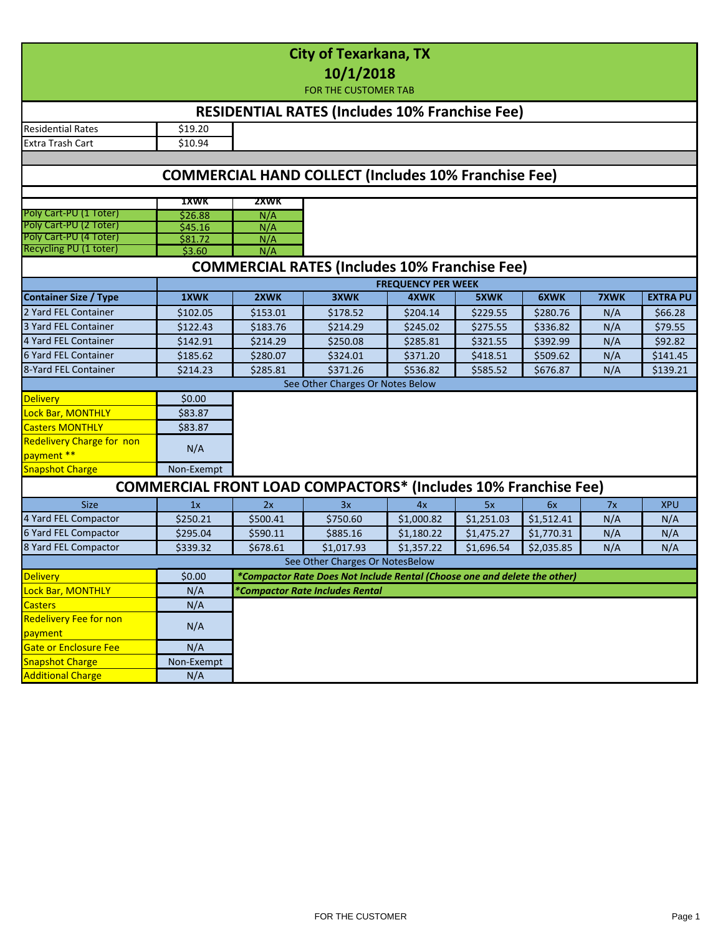| <b>City of Texarkana, TX</b><br>10/1/2018<br><b>FOR THE CUSTOMER TAB</b> |            |          |                                                                           |                                   |             |            |      |                 |  |  |  |  |  |
|--------------------------------------------------------------------------|------------|----------|---------------------------------------------------------------------------|-----------------------------------|-------------|------------|------|-----------------|--|--|--|--|--|
| <b>RESIDENTIAL RATES (Includes 10% Franchise Fee)</b>                    |            |          |                                                                           |                                   |             |            |      |                 |  |  |  |  |  |
| <b>Residential Rates</b>                                                 | \$19.20    |          |                                                                           |                                   |             |            |      |                 |  |  |  |  |  |
| Extra Trash Cart                                                         | \$10.94    |          |                                                                           |                                   |             |            |      |                 |  |  |  |  |  |
| <b>COMMERCIAL HAND COLLECT (Includes 10% Franchise Fee)</b>              |            |          |                                                                           |                                   |             |            |      |                 |  |  |  |  |  |
|                                                                          |            |          |                                                                           |                                   |             |            |      |                 |  |  |  |  |  |
|                                                                          | 1XWK       | 2XWK     |                                                                           |                                   |             |            |      |                 |  |  |  |  |  |
| Poly Cart-PU (1 Toter)                                                   | \$26.88    | N/A      |                                                                           |                                   |             |            |      |                 |  |  |  |  |  |
| Poly Cart-PU (2 Toter)                                                   | \$45.16    | N/A      |                                                                           |                                   |             |            |      |                 |  |  |  |  |  |
| Poly Cart-PU (4 Toter)<br>Recycling PU (1 toter)                         | \$81.72    | N/A      |                                                                           |                                   |             |            |      |                 |  |  |  |  |  |
|                                                                          | \$3.60     | N/A      |                                                                           |                                   |             |            |      |                 |  |  |  |  |  |
| <b>COMMERCIAL RATES (Includes 10% Franchise Fee)</b>                     |            |          |                                                                           |                                   |             |            |      |                 |  |  |  |  |  |
| <b>Container Size / Type</b>                                             | 1XWK       | 2XWK     | 3XWK                                                                      | <b>FREQUENCY PER WEEK</b><br>4XWK | <b>5XWK</b> | 6XWK       | 7XWK | <b>EXTRA PU</b> |  |  |  |  |  |
|                                                                          |            |          |                                                                           |                                   |             |            |      |                 |  |  |  |  |  |
| 2 Yard FEL Container                                                     | \$102.05   | \$153.01 | \$178.52                                                                  | \$204.14                          | \$229.55    | \$280.76   | N/A  | \$66.28         |  |  |  |  |  |
| 3 Yard FEL Container                                                     | \$122.43   | \$183.76 | \$214.29                                                                  | \$245.02                          | \$275.55    | \$336.82   | N/A  | \$79.55         |  |  |  |  |  |
| 4 Yard FEL Container                                                     | \$142.91   | \$214.29 | \$250.08                                                                  | \$285.81                          | \$321.55    | \$392.99   | N/A  | \$92.82         |  |  |  |  |  |
| 6 Yard FEL Container                                                     | \$185.62   | \$280.07 | \$324.01                                                                  | \$371.20                          | \$418.51    | \$509.62   | N/A  | \$141.45        |  |  |  |  |  |
| 8-Yard FEL Container                                                     | \$214.23   | \$285.81 | \$371.26                                                                  | \$536.82                          | \$585.52    | \$676.87   | N/A  | \$139.21        |  |  |  |  |  |
| See Other Charges Or Notes Below                                         |            |          |                                                                           |                                   |             |            |      |                 |  |  |  |  |  |
| <b>Delivery</b>                                                          | \$0.00     |          |                                                                           |                                   |             |            |      |                 |  |  |  |  |  |
| Lock Bar, MONTHLY                                                        | \$83.87    |          |                                                                           |                                   |             |            |      |                 |  |  |  |  |  |
| <b>Casters MONTHLY</b>                                                   | \$83.87    |          |                                                                           |                                   |             |            |      |                 |  |  |  |  |  |
| <b>Redelivery Charge for non</b>                                         |            |          |                                                                           |                                   |             |            |      |                 |  |  |  |  |  |
| payment **                                                               | N/A        |          |                                                                           |                                   |             |            |      |                 |  |  |  |  |  |
| <b>Snapshot Charge</b>                                                   | Non-Exempt |          |                                                                           |                                   |             |            |      |                 |  |  |  |  |  |
| <b>COMMERCIAL FRONT LOAD COMPACTORS* (Includes 10% Franchise Fee)</b>    |            |          |                                                                           |                                   |             |            |      |                 |  |  |  |  |  |
| <b>Size</b>                                                              | 1x         | 2x       | 3x                                                                        | 4x                                | 5x          | 6x         | 7x   | <b>XPU</b>      |  |  |  |  |  |
| 4 Yard FEL Compactor                                                     | \$250.21   | \$500.41 | \$750.60                                                                  | \$1,000.82                        | \$1,251.03  | \$1,512.41 | N/A  | N/A             |  |  |  |  |  |
| 6 Yard FEL Compactor                                                     | \$295.04   | \$590.11 | \$885.16                                                                  | \$1,180.22                        | \$1,475.27  | \$1,770.31 | N/A  | N/A             |  |  |  |  |  |
| 8 Yard FEL Compactor                                                     | \$339.32   | \$678.61 | \$1,017.93                                                                | \$1,357.22                        | \$1,696.54  | \$2,035.85 | N/A  | N/A             |  |  |  |  |  |
|                                                                          |            |          | See Other Charges Or NotesBelow                                           |                                   |             |            |      |                 |  |  |  |  |  |
| <b>Delivery</b>                                                          | \$0.00     |          | *Compactor Rate Does Not Include Rental (Choose one and delete the other) |                                   |             |            |      |                 |  |  |  |  |  |
| Lock Bar, MONTHLY                                                        | N/A        |          | *Compactor Rate Includes Rental                                           |                                   |             |            |      |                 |  |  |  |  |  |
| <b>Casters</b>                                                           | N/A        |          |                                                                           |                                   |             |            |      |                 |  |  |  |  |  |
| <b>Redelivery Fee for non</b>                                            |            |          |                                                                           |                                   |             |            |      |                 |  |  |  |  |  |
| payment                                                                  | N/A        |          |                                                                           |                                   |             |            |      |                 |  |  |  |  |  |
| Gate or Enclosure Fee                                                    | N/A        |          |                                                                           |                                   |             |            |      |                 |  |  |  |  |  |
| <b>Snapshot Charge</b>                                                   | Non-Exempt |          |                                                                           |                                   |             |            |      |                 |  |  |  |  |  |
| <b>Additional Charge</b>                                                 | N/A        |          |                                                                           |                                   |             |            |      |                 |  |  |  |  |  |